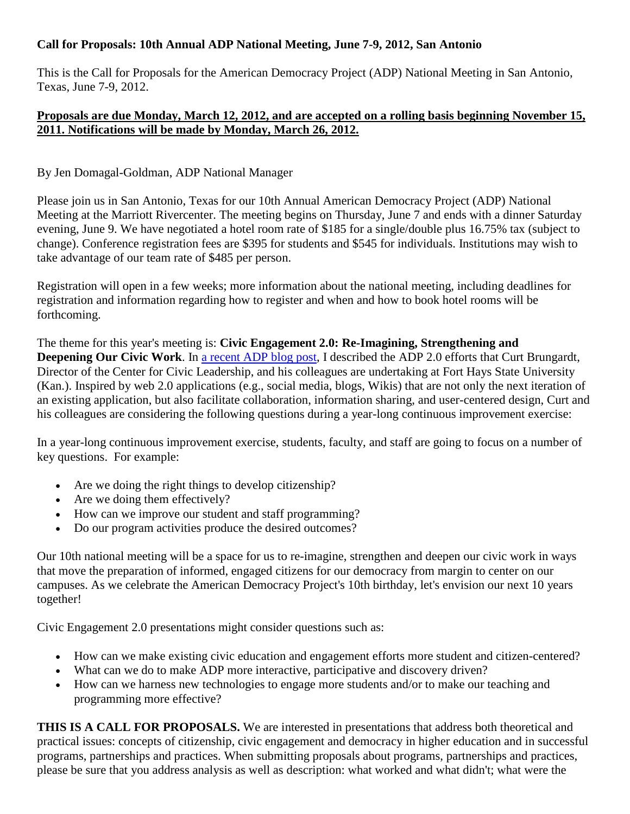## **Call for Proposals: 10th Annual ADP National Meeting, June 7-9, 2012, San Antonio**

This is the Call for Proposals for the American Democracy Project (ADP) National Meeting in San Antonio, Texas, June 7-9, 2012.

## **Proposals are due Monday, March 12, 2012, and are accepted on a rolling basis beginning November 15, 2011. Notifications will be made by Monday, March 26, 2012.**

## By Jen Domagal-Goldman, ADP National Manager

Please join us in San Antonio, Texas for our 10th Annual American Democracy Project (ADP) National Meeting at the Marriott Rivercenter. The meeting begins on Thursday, June 7 and ends with a dinner Saturday evening, June 9. We have negotiated a hotel room rate of \$185 for a single/double plus 16.75% tax (subject to change). Conference registration fees are \$395 for students and \$545 for individuals. Institutions may wish to take advantage of our team rate of \$485 per person.

Registration will open in a few weeks; more information about the national meeting, including deadlines for registration and information regarding how to register and when and how to book hotel rooms will be forthcoming.

The theme for this year's meeting is: **Civic Engagement 2.0: Re-Imagining, Strengthening and Deepening Our Civic Work**. In [a recent ADP blog post,](http://wp.me/pAvoG-ze) I described the ADP 2.0 efforts that Curt Brungardt, Director of the Center for Civic Leadership, and his colleagues are undertaking at Fort Hays State University (Kan.). Inspired by web 2.0 applications (e.g., social media, blogs, Wikis) that are not only the next iteration of an existing application, but also facilitate collaboration, information sharing, and user-centered design, Curt and his colleagues are considering the following questions during a year-long continuous improvement exercise:

In a year-long continuous improvement exercise, students, faculty, and staff are going to focus on a number of key questions. For example:

- Are we doing the right things to develop citizenship?
- Are we doing them effectively?
- How can we improve our student and staff programming?
- Do our program activities produce the desired outcomes?

Our 10th national meeting will be a space for us to re-imagine, strengthen and deepen our civic work in ways that move the preparation of informed, engaged citizens for our democracy from margin to center on our campuses. As we celebrate the American Democracy Project's 10th birthday, let's envision our next 10 years together!

Civic Engagement 2.0 presentations might consider questions such as:

- How can we make existing civic education and engagement efforts more student and citizen-centered?
- What can we do to make ADP more interactive, participative and discovery driven?
- How can we harness new technologies to engage more students and/or to make our teaching and programming more effective?

**THIS IS A CALL FOR PROPOSALS.** We are interested in presentations that address both theoretical and practical issues: concepts of citizenship, civic engagement and democracy in higher education and in successful programs, partnerships and practices. When submitting proposals about programs, partnerships and practices, please be sure that you address analysis as well as description: what worked and what didn't; what were the